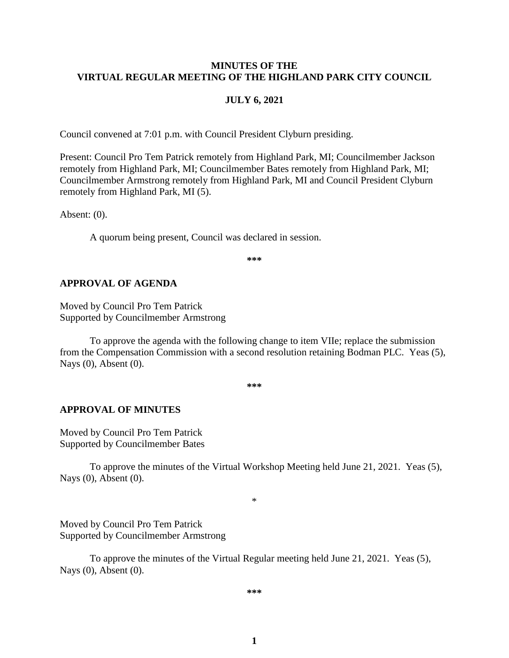#### **MINUTES OF THE VIRTUAL REGULAR MEETING OF THE HIGHLAND PARK CITY COUNCIL**

#### **JULY 6, 2021**

Council convened at 7:01 p.m. with Council President Clyburn presiding.

Present: Council Pro Tem Patrick remotely from Highland Park, MI; Councilmember Jackson remotely from Highland Park, MI; Councilmember Bates remotely from Highland Park, MI; Councilmember Armstrong remotely from Highland Park, MI and Council President Clyburn remotely from Highland Park, MI (5).

Absent: (0).

A quorum being present, Council was declared in session.

**\*\*\***

#### **APPROVAL OF AGENDA**

Moved by Council Pro Tem Patrick Supported by Councilmember Armstrong

To approve the agenda with the following change to item VIIe; replace the submission from the Compensation Commission with a second resolution retaining Bodman PLC. Yeas (5), Nays (0), Absent (0).

**\*\*\***

#### **APPROVAL OF MINUTES**

Moved by Council Pro Tem Patrick Supported by Councilmember Bates

To approve the minutes of the Virtual Workshop Meeting held June 21, 2021.Yeas (5), Nays (0), Absent (0).

\*

Moved by Council Pro Tem Patrick Supported by Councilmember Armstrong

To approve the minutes of the Virtual Regular meeting held June 21, 2021.Yeas (5), Nays (0), Absent (0).

**\*\*\***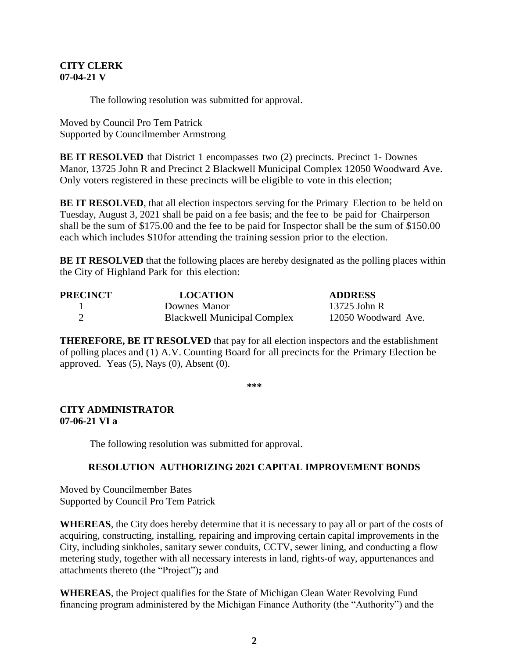#### **CITY CLERK 07-04-21 V**

The following resolution was submitted for approval.

Moved by Council Pro Tem Patrick Supported by Councilmember Armstrong

**BE IT RESOLVED** that District 1 encompasses two (2) precincts. Precinct 1- Downes Manor, 13725 John R and Precinct 2 Blackwell Municipal Complex 12050 Woodward Ave. Only voters registered in these precincts will be eligible to vote in this election;

**BE IT RESOLVED**, that all election inspectors serving for the Primary Election to be held on Tuesday, August 3, 2021 shall be paid on a fee basis; and the fee to be paid for Chairperson shall be the sum of \$175.00 and the fee to be paid for Inspector shall be the sum of \$150.00 each which includes \$10for attending the training session prior to the election.

**BE IT RESOLVED** that the following places are hereby designated as the polling places within the City of Highland Park for this election:

| PRECINCT | <b>LOCATION</b>                    | <b>ADDRESS</b>      |
|----------|------------------------------------|---------------------|
|          | Downes Manor                       | 13725 John R        |
|          | <b>Blackwell Municipal Complex</b> | 12050 Woodward Ave. |

**THEREFORE, BE IT RESOLVED** that pay for all election inspectors and the establishment of polling places and (1) A.V. Counting Board for all precincts for the Primary Election be approved. Yeas  $(5)$ , Nays  $(0)$ , Absent  $(0)$ .

**\*\*\***

### **CITY ADMINISTRATOR 07-06-21 VI a**

The following resolution was submitted for approval.

### **RESOLUTION AUTHORIZING 2021 CAPITAL IMPROVEMENT BONDS**

Moved by Councilmember Bates Supported by Council Pro Tem Patrick

**WHEREAS**, the City does hereby determine that it is necessary to pay all or part of the costs of acquiring, constructing, installing, repairing and improving certain capital improvements in the City, including sinkholes, sanitary sewer conduits, CCTV, sewer lining, and conducting a flow metering study, together with all necessary interests in land, rights-of way, appurtenances and attachments thereto (the "Project")**;** and

**WHEREAS**, the Project qualifies for the State of Michigan Clean Water Revolving Fund financing program administered by the Michigan Finance Authority (the "Authority") and the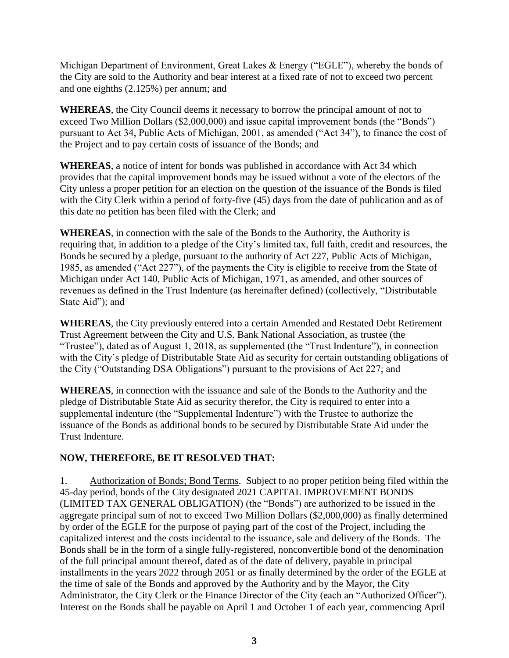Michigan Department of Environment, Great Lakes & Energy ("EGLE"), whereby the bonds of the City are sold to the Authority and bear interest at a fixed rate of not to exceed two percent and one eighths (2.125%) per annum; and

**WHEREAS**, the City Council deems it necessary to borrow the principal amount of not to exceed Two Million Dollars (\$2,000,000) and issue capital improvement bonds (the "Bonds") pursuant to Act 34, Public Acts of Michigan, 2001, as amended ("Act 34"), to finance the cost of the Project and to pay certain costs of issuance of the Bonds; and

**WHEREAS**, a notice of intent for bonds was published in accordance with Act 34 which provides that the capital improvement bonds may be issued without a vote of the electors of the City unless a proper petition for an election on the question of the issuance of the Bonds is filed with the City Clerk within a period of forty-five (45) days from the date of publication and as of this date no petition has been filed with the Clerk; and

**WHEREAS**, in connection with the sale of the Bonds to the Authority, the Authority is requiring that, in addition to a pledge of the City's limited tax, full faith, credit and resources, the Bonds be secured by a pledge, pursuant to the authority of Act 227, Public Acts of Michigan, 1985, as amended ("Act 227"), of the payments the City is eligible to receive from the State of Michigan under Act 140, Public Acts of Michigan, 1971, as amended, and other sources of revenues as defined in the Trust Indenture (as hereinafter defined) (collectively, "Distributable State Aid"); and

**WHEREAS**, the City previously entered into a certain Amended and Restated Debt Retirement Trust Agreement between the City and U.S. Bank National Association, as trustee (the "Trustee"), dated as of August 1, 2018, as supplemented (the "Trust Indenture"), in connection with the City's pledge of Distributable State Aid as security for certain outstanding obligations of the City ("Outstanding DSA Obligations") pursuant to the provisions of Act 227; and

**WHEREAS**, in connection with the issuance and sale of the Bonds to the Authority and the pledge of Distributable State Aid as security therefor, the City is required to enter into a supplemental indenture (the "Supplemental Indenture") with the Trustee to authorize the issuance of the Bonds as additional bonds to be secured by Distributable State Aid under the Trust Indenture.

# **NOW, THEREFORE, BE IT RESOLVED THAT:**

1. Authorization of Bonds; Bond Terms. Subject to no proper petition being filed within the 45-day period, bonds of the City designated 2021 CAPITAL IMPROVEMENT BONDS (LIMITED TAX GENERAL OBLIGATION) (the "Bonds") are authorized to be issued in the aggregate principal sum of not to exceed Two Million Dollars (\$2,000,000) as finally determined by order of the EGLE for the purpose of paying part of the cost of the Project, including the capitalized interest and the costs incidental to the issuance, sale and delivery of the Bonds. The Bonds shall be in the form of a single fully-registered, nonconvertible bond of the denomination of the full principal amount thereof, dated as of the date of delivery, payable in principal installments in the years 2022 through 2051 or as finally determined by the order of the EGLE at the time of sale of the Bonds and approved by the Authority and by the Mayor, the City Administrator, the City Clerk or the Finance Director of the City (each an "Authorized Officer"). Interest on the Bonds shall be payable on April 1 and October 1 of each year, commencing April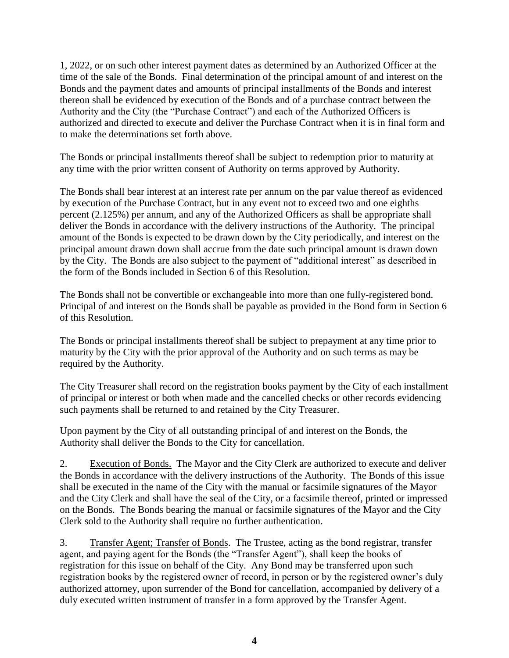1, 2022, or on such other interest payment dates as determined by an Authorized Officer at the time of the sale of the Bonds. Final determination of the principal amount of and interest on the Bonds and the payment dates and amounts of principal installments of the Bonds and interest thereon shall be evidenced by execution of the Bonds and of a purchase contract between the Authority and the City (the "Purchase Contract") and each of the Authorized Officers is authorized and directed to execute and deliver the Purchase Contract when it is in final form and to make the determinations set forth above.

The Bonds or principal installments thereof shall be subject to redemption prior to maturity at any time with the prior written consent of Authority on terms approved by Authority.

The Bonds shall bear interest at an interest rate per annum on the par value thereof as evidenced by execution of the Purchase Contract, but in any event not to exceed two and one eighths percent (2.125%) per annum, and any of the Authorized Officers as shall be appropriate shall deliver the Bonds in accordance with the delivery instructions of the Authority. The principal amount of the Bonds is expected to be drawn down by the City periodically, and interest on the principal amount drawn down shall accrue from the date such principal amount is drawn down by the City. The Bonds are also subject to the payment of "additional interest" as described in the form of the Bonds included in Section 6 of this Resolution.

The Bonds shall not be convertible or exchangeable into more than one fully-registered bond. Principal of and interest on the Bonds shall be payable as provided in the Bond form in Section 6 of this Resolution.

The Bonds or principal installments thereof shall be subject to prepayment at any time prior to maturity by the City with the prior approval of the Authority and on such terms as may be required by the Authority.

The City Treasurer shall record on the registration books payment by the City of each installment of principal or interest or both when made and the cancelled checks or other records evidencing such payments shall be returned to and retained by the City Treasurer.

Upon payment by the City of all outstanding principal of and interest on the Bonds, the Authority shall deliver the Bonds to the City for cancellation.

2. Execution of Bonds. The Mayor and the City Clerk are authorized to execute and deliver the Bonds in accordance with the delivery instructions of the Authority. The Bonds of this issue shall be executed in the name of the City with the manual or facsimile signatures of the Mayor and the City Clerk and shall have the seal of the City, or a facsimile thereof, printed or impressed on the Bonds. The Bonds bearing the manual or facsimile signatures of the Mayor and the City Clerk sold to the Authority shall require no further authentication.

3. Transfer Agent; Transfer of Bonds. The Trustee, acting as the bond registrar, transfer agent, and paying agent for the Bonds (the "Transfer Agent"), shall keep the books of registration for this issue on behalf of the City. Any Bond may be transferred upon such registration books by the registered owner of record, in person or by the registered owner's duly authorized attorney, upon surrender of the Bond for cancellation, accompanied by delivery of a duly executed written instrument of transfer in a form approved by the Transfer Agent.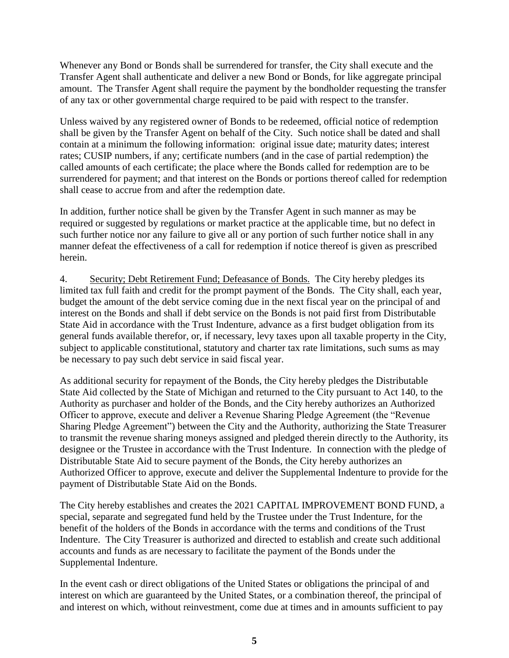Whenever any Bond or Bonds shall be surrendered for transfer, the City shall execute and the Transfer Agent shall authenticate and deliver a new Bond or Bonds, for like aggregate principal amount. The Transfer Agent shall require the payment by the bondholder requesting the transfer of any tax or other governmental charge required to be paid with respect to the transfer.

Unless waived by any registered owner of Bonds to be redeemed, official notice of redemption shall be given by the Transfer Agent on behalf of the City. Such notice shall be dated and shall contain at a minimum the following information: original issue date; maturity dates; interest rates; CUSIP numbers, if any; certificate numbers (and in the case of partial redemption) the called amounts of each certificate; the place where the Bonds called for redemption are to be surrendered for payment; and that interest on the Bonds or portions thereof called for redemption shall cease to accrue from and after the redemption date.

In addition, further notice shall be given by the Transfer Agent in such manner as may be required or suggested by regulations or market practice at the applicable time, but no defect in such further notice nor any failure to give all or any portion of such further notice shall in any manner defeat the effectiveness of a call for redemption if notice thereof is given as prescribed herein.

4. Security; Debt Retirement Fund; Defeasance of Bonds. The City hereby pledges its limited tax full faith and credit for the prompt payment of the Bonds. The City shall, each year, budget the amount of the debt service coming due in the next fiscal year on the principal of and interest on the Bonds and shall if debt service on the Bonds is not paid first from Distributable State Aid in accordance with the Trust Indenture, advance as a first budget obligation from its general funds available therefor, or, if necessary, levy taxes upon all taxable property in the City, subject to applicable constitutional, statutory and charter tax rate limitations, such sums as may be necessary to pay such debt service in said fiscal year.

As additional security for repayment of the Bonds, the City hereby pledges the Distributable State Aid collected by the State of Michigan and returned to the City pursuant to Act 140, to the Authority as purchaser and holder of the Bonds, and the City hereby authorizes an Authorized Officer to approve, execute and deliver a Revenue Sharing Pledge Agreement (the "Revenue Sharing Pledge Agreement") between the City and the Authority, authorizing the State Treasurer to transmit the revenue sharing moneys assigned and pledged therein directly to the Authority, its designee or the Trustee in accordance with the Trust Indenture. In connection with the pledge of Distributable State Aid to secure payment of the Bonds, the City hereby authorizes an Authorized Officer to approve, execute and deliver the Supplemental Indenture to provide for the payment of Distributable State Aid on the Bonds.

The City hereby establishes and creates the 2021 CAPITAL IMPROVEMENT BOND FUND, a special, separate and segregated fund held by the Trustee under the Trust Indenture, for the benefit of the holders of the Bonds in accordance with the terms and conditions of the Trust Indenture. The City Treasurer is authorized and directed to establish and create such additional accounts and funds as are necessary to facilitate the payment of the Bonds under the Supplemental Indenture.

In the event cash or direct obligations of the United States or obligations the principal of and interest on which are guaranteed by the United States, or a combination thereof, the principal of and interest on which, without reinvestment, come due at times and in amounts sufficient to pay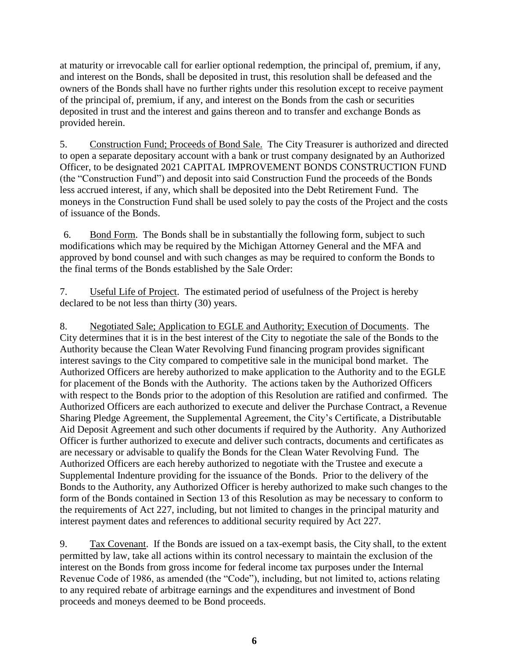at maturity or irrevocable call for earlier optional redemption, the principal of, premium, if any, and interest on the Bonds, shall be deposited in trust, this resolution shall be defeased and the owners of the Bonds shall have no further rights under this resolution except to receive payment of the principal of, premium, if any, and interest on the Bonds from the cash or securities deposited in trust and the interest and gains thereon and to transfer and exchange Bonds as provided herein.

5. Construction Fund; Proceeds of Bond Sale. The City Treasurer is authorized and directed to open a separate depositary account with a bank or trust company designated by an Authorized Officer, to be designated 2021 CAPITAL IMPROVEMENT BONDS CONSTRUCTION FUND (the "Construction Fund") and deposit into said Construction Fund the proceeds of the Bonds less accrued interest, if any, which shall be deposited into the Debt Retirement Fund. The moneys in the Construction Fund shall be used solely to pay the costs of the Project and the costs of issuance of the Bonds.

6. Bond Form. The Bonds shall be in substantially the following form, subject to such modifications which may be required by the Michigan Attorney General and the MFA and approved by bond counsel and with such changes as may be required to conform the Bonds to the final terms of the Bonds established by the Sale Order:

7. Useful Life of Project. The estimated period of usefulness of the Project is hereby declared to be not less than thirty (30) years.

8. Negotiated Sale; Application to EGLE and Authority; Execution of Documents. The City determines that it is in the best interest of the City to negotiate the sale of the Bonds to the Authority because the Clean Water Revolving Fund financing program provides significant interest savings to the City compared to competitive sale in the municipal bond market. The Authorized Officers are hereby authorized to make application to the Authority and to the EGLE for placement of the Bonds with the Authority. The actions taken by the Authorized Officers with respect to the Bonds prior to the adoption of this Resolution are ratified and confirmed. The Authorized Officers are each authorized to execute and deliver the Purchase Contract, a Revenue Sharing Pledge Agreement, the Supplemental Agreement, the City's Certificate, a Distributable Aid Deposit Agreement and such other documents if required by the Authority. Any Authorized Officer is further authorized to execute and deliver such contracts, documents and certificates as are necessary or advisable to qualify the Bonds for the Clean Water Revolving Fund. The Authorized Officers are each hereby authorized to negotiate with the Trustee and execute a Supplemental Indenture providing for the issuance of the Bonds. Prior to the delivery of the Bonds to the Authority, any Authorized Officer is hereby authorized to make such changes to the form of the Bonds contained in Section 13 of this Resolution as may be necessary to conform to the requirements of Act 227, including, but not limited to changes in the principal maturity and interest payment dates and references to additional security required by Act 227.

9. Tax Covenant. If the Bonds are issued on a tax-exempt basis, the City shall, to the extent permitted by law, take all actions within its control necessary to maintain the exclusion of the interest on the Bonds from gross income for federal income tax purposes under the Internal Revenue Code of 1986, as amended (the "Code"), including, but not limited to, actions relating to any required rebate of arbitrage earnings and the expenditures and investment of Bond proceeds and moneys deemed to be Bond proceeds.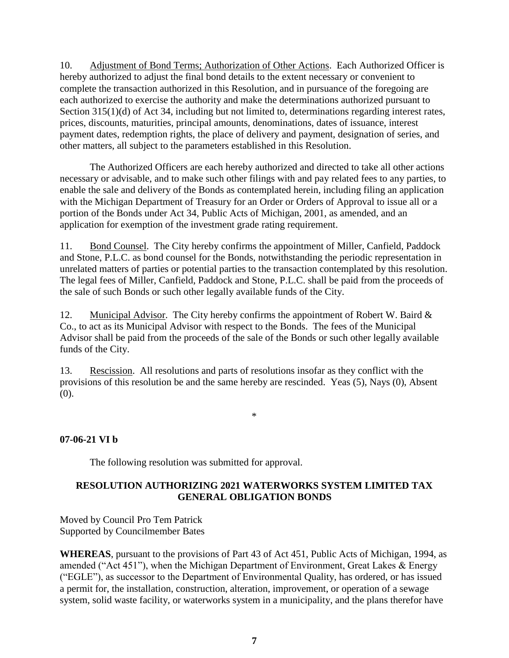10. Adjustment of Bond Terms; Authorization of Other Actions. Each Authorized Officer is hereby authorized to adjust the final bond details to the extent necessary or convenient to complete the transaction authorized in this Resolution, and in pursuance of the foregoing are each authorized to exercise the authority and make the determinations authorized pursuant to Section 315(1)(d) of Act 34, including but not limited to, determinations regarding interest rates, prices, discounts, maturities, principal amounts, denominations, dates of issuance, interest payment dates, redemption rights, the place of delivery and payment, designation of series, and other matters, all subject to the parameters established in this Resolution.

The Authorized Officers are each hereby authorized and directed to take all other actions necessary or advisable, and to make such other filings with and pay related fees to any parties, to enable the sale and delivery of the Bonds as contemplated herein, including filing an application with the Michigan Department of Treasury for an Order or Orders of Approval to issue all or a portion of the Bonds under Act 34, Public Acts of Michigan, 2001, as amended, and an application for exemption of the investment grade rating requirement.

11. Bond Counsel. The City hereby confirms the appointment of Miller, Canfield, Paddock and Stone, P.L.C. as bond counsel for the Bonds, notwithstanding the periodic representation in unrelated matters of parties or potential parties to the transaction contemplated by this resolution. The legal fees of Miller, Canfield, Paddock and Stone, P.L.C. shall be paid from the proceeds of the sale of such Bonds or such other legally available funds of the City.

12. Municipal Advisor. The City hereby confirms the appointment of Robert W. Baird & Co., to act as its Municipal Advisor with respect to the Bonds. The fees of the Municipal Advisor shall be paid from the proceeds of the sale of the Bonds or such other legally available funds of the City.

13. Rescission. All resolutions and parts of resolutions insofar as they conflict with the provisions of this resolution be and the same hereby are rescinded. Yeas (5), Nays (0), Absent (0).

\*

#### **07-06-21 VI b**

The following resolution was submitted for approval.

### **RESOLUTION AUTHORIZING 2021 WATERWORKS SYSTEM LIMITED TAX GENERAL OBLIGATION BONDS**

Moved by Council Pro Tem Patrick Supported by Councilmember Bates

**WHEREAS**, pursuant to the provisions of Part 43 of Act 451, Public Acts of Michigan, 1994, as amended ("Act 451"), when the Michigan Department of Environment, Great Lakes & Energy ("EGLE"), as successor to the Department of Environmental Quality, has ordered, or has issued a permit for, the installation, construction, alteration, improvement, or operation of a sewage system, solid waste facility, or waterworks system in a municipality, and the plans therefor have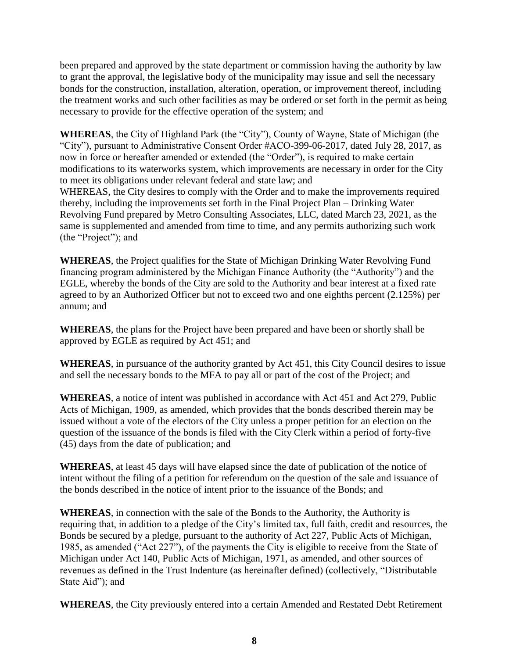been prepared and approved by the state department or commission having the authority by law to grant the approval, the legislative body of the municipality may issue and sell the necessary bonds for the construction, installation, alteration, operation, or improvement thereof, including the treatment works and such other facilities as may be ordered or set forth in the permit as being necessary to provide for the effective operation of the system; and

**WHEREAS**, the City of Highland Park (the "City"), County of Wayne, State of Michigan (the "City"), pursuant to Administrative Consent Order #ACO-399-06-2017, dated July 28, 2017, as now in force or hereafter amended or extended (the "Order"), is required to make certain modifications to its waterworks system, which improvements are necessary in order for the City to meet its obligations under relevant federal and state law; and WHEREAS, the City desires to comply with the Order and to make the improvements required thereby, including the improvements set forth in the Final Project Plan – Drinking Water Revolving Fund prepared by Metro Consulting Associates, LLC, dated March 23, 2021, as the same is supplemented and amended from time to time, and any permits authorizing such work (the "Project"); and

**WHEREAS**, the Project qualifies for the State of Michigan Drinking Water Revolving Fund financing program administered by the Michigan Finance Authority (the "Authority") and the EGLE, whereby the bonds of the City are sold to the Authority and bear interest at a fixed rate agreed to by an Authorized Officer but not to exceed two and one eighths percent (2.125%) per annum; and

**WHEREAS**, the plans for the Project have been prepared and have been or shortly shall be approved by EGLE as required by Act 451; and

**WHEREAS**, in pursuance of the authority granted by Act 451, this City Council desires to issue and sell the necessary bonds to the MFA to pay all or part of the cost of the Project; and

**WHEREAS**, a notice of intent was published in accordance with Act 451 and Act 279, Public Acts of Michigan, 1909, as amended, which provides that the bonds described therein may be issued without a vote of the electors of the City unless a proper petition for an election on the question of the issuance of the bonds is filed with the City Clerk within a period of forty-five (45) days from the date of publication; and

**WHEREAS**, at least 45 days will have elapsed since the date of publication of the notice of intent without the filing of a petition for referendum on the question of the sale and issuance of the bonds described in the notice of intent prior to the issuance of the Bonds; and

**WHEREAS**, in connection with the sale of the Bonds to the Authority, the Authority is requiring that, in addition to a pledge of the City's limited tax, full faith, credit and resources, the Bonds be secured by a pledge, pursuant to the authority of Act 227, Public Acts of Michigan, 1985, as amended ("Act 227"), of the payments the City is eligible to receive from the State of Michigan under Act 140, Public Acts of Michigan, 1971, as amended, and other sources of revenues as defined in the Trust Indenture (as hereinafter defined) (collectively, "Distributable State Aid"); and

**WHEREAS**, the City previously entered into a certain Amended and Restated Debt Retirement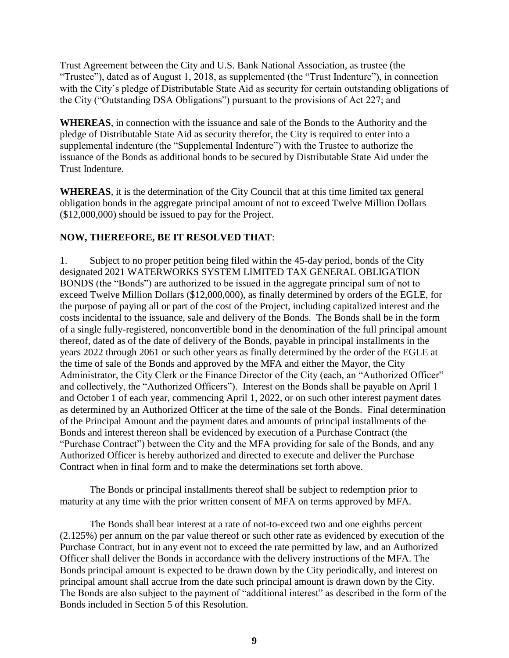Trust Agreement between the City and U.S. Bank National Association, as trustee (the "Trustee"), dated as of August 1, 2018, as supplemented (the "Trust Indenture"), in connection with the City's pledge of Distributable State Aid as security for certain outstanding obligations of the City ("Outstanding DSA Obligations") pursuant to the provisions of Act 227; and

**WHEREAS**, in connection with the issuance and sale of the Bonds to the Authority and the pledge of Distributable State Aid as security therefor, the City is required to enter into a supplemental indenture (the "Supplemental Indenture") with the Trustee to authorize the issuance of the Bonds as additional bonds to be secured by Distributable State Aid under the Trust Indenture.

**WHEREAS**, it is the determination of the City Council that at this time limited tax general obligation bonds in the aggregate principal amount of not to exceed Twelve Million Dollars (\$12,000,000) should be issued to pay for the Project.

### **NOW, THEREFORE, BE IT RESOLVED THAT**:

1. Subject to no proper petition being filed within the 45-day period, bonds of the City designated 2021 WATERWORKS SYSTEM LIMITED TAX GENERAL OBLIGATION BONDS (the "Bonds") are authorized to be issued in the aggregate principal sum of not to exceed Twelve Million Dollars (\$12,000,000), as finally determined by orders of the EGLE, for the purpose of paying all or part of the cost of the Project, including capitalized interest and the costs incidental to the issuance, sale and delivery of the Bonds. The Bonds shall be in the form of a single fully-registered, nonconvertible bond in the denomination of the full principal amount thereof, dated as of the date of delivery of the Bonds, payable in principal installments in the years 2022 through 2061 or such other years as finally determined by the order of the EGLE at the time of sale of the Bonds and approved by the MFA and either the Mayor, the City Administrator, the City Clerk or the Finance Director of the City (each, an "Authorized Officer" and collectively, the "Authorized Officers"). Interest on the Bonds shall be payable on April 1 and October 1 of each year, commencing April 1, 2022, or on such other interest payment dates as determined by an Authorized Officer at the time of the sale of the Bonds. Final determination of the Principal Amount and the payment dates and amounts of principal installments of the Bonds and interest thereon shall be evidenced by execution of a Purchase Contract (the "Purchase Contract") between the City and the MFA providing for sale of the Bonds, and any Authorized Officer is hereby authorized and directed to execute and deliver the Purchase Contract when in final form and to make the determinations set forth above.

The Bonds or principal installments thereof shall be subject to redemption prior to maturity at any time with the prior written consent of MFA on terms approved by MFA.

The Bonds shall bear interest at a rate of not-to-exceed two and one eighths percent (2.125%) per annum on the par value thereof or such other rate as evidenced by execution of the Purchase Contract, but in any event not to exceed the rate permitted by law, and an Authorized Officer shall deliver the Bonds in accordance with the delivery instructions of the MFA. The Bonds principal amount is expected to be drawn down by the City periodically, and interest on principal amount shall accrue from the date such principal amount is drawn down by the City. The Bonds are also subject to the payment of "additional interest" as described in the form of the Bonds included in Section 5 of this Resolution.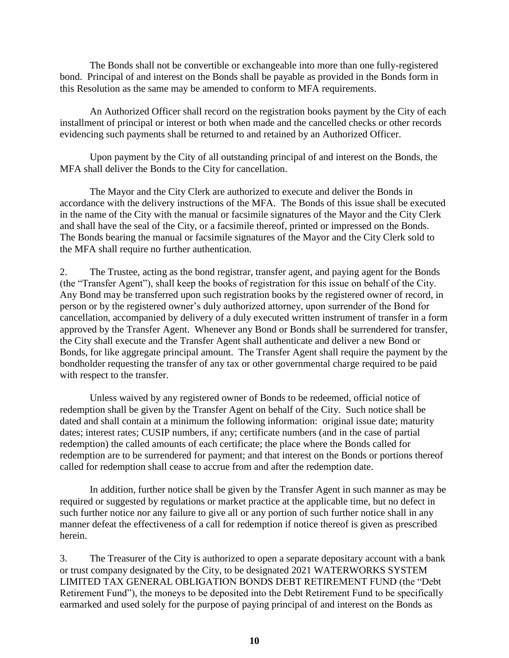The Bonds shall not be convertible or exchangeable into more than one fully-registered bond. Principal of and interest on the Bonds shall be payable as provided in the Bonds form in this Resolution as the same may be amended to conform to MFA requirements.

An Authorized Officer shall record on the registration books payment by the City of each installment of principal or interest or both when made and the cancelled checks or other records evidencing such payments shall be returned to and retained by an Authorized Officer.

Upon payment by the City of all outstanding principal of and interest on the Bonds, the MFA shall deliver the Bonds to the City for cancellation.

The Mayor and the City Clerk are authorized to execute and deliver the Bonds in accordance with the delivery instructions of the MFA. The Bonds of this issue shall be executed in the name of the City with the manual or facsimile signatures of the Mayor and the City Clerk and shall have the seal of the City, or a facsimile thereof, printed or impressed on the Bonds. The Bonds bearing the manual or facsimile signatures of the Mayor and the City Clerk sold to the MFA shall require no further authentication.

2. The Trustee, acting as the bond registrar, transfer agent, and paying agent for the Bonds (the "Transfer Agent"), shall keep the books of registration for this issue on behalf of the City. Any Bond may be transferred upon such registration books by the registered owner of record, in person or by the registered owner's duly authorized attorney, upon surrender of the Bond for cancellation, accompanied by delivery of a duly executed written instrument of transfer in a form approved by the Transfer Agent. Whenever any Bond or Bonds shall be surrendered for transfer, the City shall execute and the Transfer Agent shall authenticate and deliver a new Bond or Bonds, for like aggregate principal amount. The Transfer Agent shall require the payment by the bondholder requesting the transfer of any tax or other governmental charge required to be paid with respect to the transfer.

Unless waived by any registered owner of Bonds to be redeemed, official notice of redemption shall be given by the Transfer Agent on behalf of the City. Such notice shall be dated and shall contain at a minimum the following information: original issue date; maturity dates; interest rates; CUSIP numbers, if any; certificate numbers (and in the case of partial redemption) the called amounts of each certificate; the place where the Bonds called for redemption are to be surrendered for payment; and that interest on the Bonds or portions thereof called for redemption shall cease to accrue from and after the redemption date.

In addition, further notice shall be given by the Transfer Agent in such manner as may be required or suggested by regulations or market practice at the applicable time, but no defect in such further notice nor any failure to give all or any portion of such further notice shall in any manner defeat the effectiveness of a call for redemption if notice thereof is given as prescribed herein.

3. The Treasurer of the City is authorized to open a separate depositary account with a bank or trust company designated by the City, to be designated 2021 WATERWORKS SYSTEM LIMITED TAX GENERAL OBLIGATION BONDS DEBT RETIREMENT FUND (the "Debt Retirement Fund"), the moneys to be deposited into the Debt Retirement Fund to be specifically earmarked and used solely for the purpose of paying principal of and interest on the Bonds as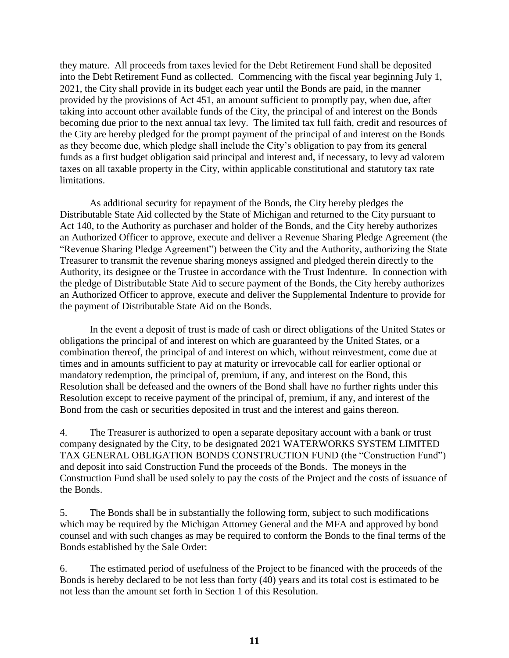they mature. All proceeds from taxes levied for the Debt Retirement Fund shall be deposited into the Debt Retirement Fund as collected. Commencing with the fiscal year beginning July 1, 2021, the City shall provide in its budget each year until the Bonds are paid, in the manner provided by the provisions of Act 451, an amount sufficient to promptly pay, when due, after taking into account other available funds of the City, the principal of and interest on the Bonds becoming due prior to the next annual tax levy. The limited tax full faith, credit and resources of the City are hereby pledged for the prompt payment of the principal of and interest on the Bonds as they become due, which pledge shall include the City's obligation to pay from its general funds as a first budget obligation said principal and interest and, if necessary, to levy ad valorem taxes on all taxable property in the City, within applicable constitutional and statutory tax rate limitations.

As additional security for repayment of the Bonds, the City hereby pledges the Distributable State Aid collected by the State of Michigan and returned to the City pursuant to Act 140, to the Authority as purchaser and holder of the Bonds, and the City hereby authorizes an Authorized Officer to approve, execute and deliver a Revenue Sharing Pledge Agreement (the "Revenue Sharing Pledge Agreement") between the City and the Authority, authorizing the State Treasurer to transmit the revenue sharing moneys assigned and pledged therein directly to the Authority, its designee or the Trustee in accordance with the Trust Indenture. In connection with the pledge of Distributable State Aid to secure payment of the Bonds, the City hereby authorizes an Authorized Officer to approve, execute and deliver the Supplemental Indenture to provide for the payment of Distributable State Aid on the Bonds.

In the event a deposit of trust is made of cash or direct obligations of the United States or obligations the principal of and interest on which are guaranteed by the United States, or a combination thereof, the principal of and interest on which, without reinvestment, come due at times and in amounts sufficient to pay at maturity or irrevocable call for earlier optional or mandatory redemption, the principal of, premium, if any, and interest on the Bond, this Resolution shall be defeased and the owners of the Bond shall have no further rights under this Resolution except to receive payment of the principal of, premium, if any, and interest of the Bond from the cash or securities deposited in trust and the interest and gains thereon.

4. The Treasurer is authorized to open a separate depositary account with a bank or trust company designated by the City, to be designated 2021 WATERWORKS SYSTEM LIMITED TAX GENERAL OBLIGATION BONDS CONSTRUCTION FUND (the "Construction Fund") and deposit into said Construction Fund the proceeds of the Bonds. The moneys in the Construction Fund shall be used solely to pay the costs of the Project and the costs of issuance of the Bonds.

5. The Bonds shall be in substantially the following form, subject to such modifications which may be required by the Michigan Attorney General and the MFA and approved by bond counsel and with such changes as may be required to conform the Bonds to the final terms of the Bonds established by the Sale Order:

6. The estimated period of usefulness of the Project to be financed with the proceeds of the Bonds is hereby declared to be not less than forty (40) years and its total cost is estimated to be not less than the amount set forth in Section 1 of this Resolution.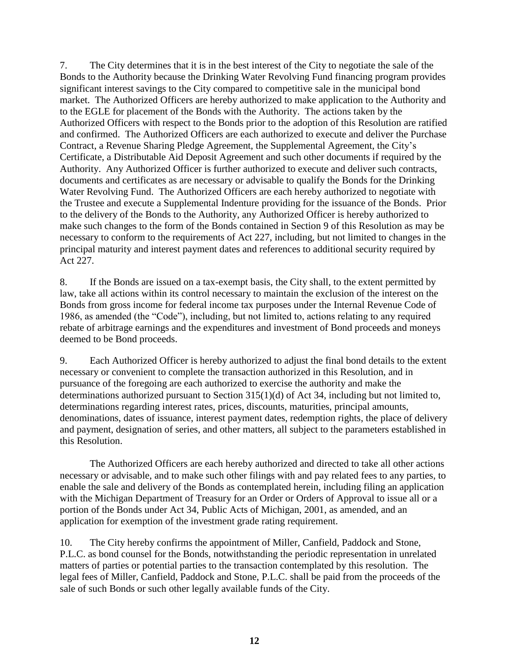7. The City determines that it is in the best interest of the City to negotiate the sale of the Bonds to the Authority because the Drinking Water Revolving Fund financing program provides significant interest savings to the City compared to competitive sale in the municipal bond market. The Authorized Officers are hereby authorized to make application to the Authority and to the EGLE for placement of the Bonds with the Authority. The actions taken by the Authorized Officers with respect to the Bonds prior to the adoption of this Resolution are ratified and confirmed. The Authorized Officers are each authorized to execute and deliver the Purchase Contract, a Revenue Sharing Pledge Agreement, the Supplemental Agreement, the City's Certificate, a Distributable Aid Deposit Agreement and such other documents if required by the Authority. Any Authorized Officer is further authorized to execute and deliver such contracts, documents and certificates as are necessary or advisable to qualify the Bonds for the Drinking Water Revolving Fund. The Authorized Officers are each hereby authorized to negotiate with the Trustee and execute a Supplemental Indenture providing for the issuance of the Bonds. Prior to the delivery of the Bonds to the Authority, any Authorized Officer is hereby authorized to make such changes to the form of the Bonds contained in Section 9 of this Resolution as may be necessary to conform to the requirements of Act 227, including, but not limited to changes in the principal maturity and interest payment dates and references to additional security required by Act 227.

8. If the Bonds are issued on a tax-exempt basis, the City shall, to the extent permitted by law, take all actions within its control necessary to maintain the exclusion of the interest on the Bonds from gross income for federal income tax purposes under the Internal Revenue Code of 1986, as amended (the "Code"), including, but not limited to, actions relating to any required rebate of arbitrage earnings and the expenditures and investment of Bond proceeds and moneys deemed to be Bond proceeds.

9. Each Authorized Officer is hereby authorized to adjust the final bond details to the extent necessary or convenient to complete the transaction authorized in this Resolution, and in pursuance of the foregoing are each authorized to exercise the authority and make the determinations authorized pursuant to Section 315(1)(d) of Act 34, including but not limited to, determinations regarding interest rates, prices, discounts, maturities, principal amounts, denominations, dates of issuance, interest payment dates, redemption rights, the place of delivery and payment, designation of series, and other matters, all subject to the parameters established in this Resolution.

The Authorized Officers are each hereby authorized and directed to take all other actions necessary or advisable, and to make such other filings with and pay related fees to any parties, to enable the sale and delivery of the Bonds as contemplated herein, including filing an application with the Michigan Department of Treasury for an Order or Orders of Approval to issue all or a portion of the Bonds under Act 34, Public Acts of Michigan, 2001, as amended, and an application for exemption of the investment grade rating requirement.

10. The City hereby confirms the appointment of Miller, Canfield, Paddock and Stone, P.L.C. as bond counsel for the Bonds, notwithstanding the periodic representation in unrelated matters of parties or potential parties to the transaction contemplated by this resolution. The legal fees of Miller, Canfield, Paddock and Stone, P.L.C. shall be paid from the proceeds of the sale of such Bonds or such other legally available funds of the City.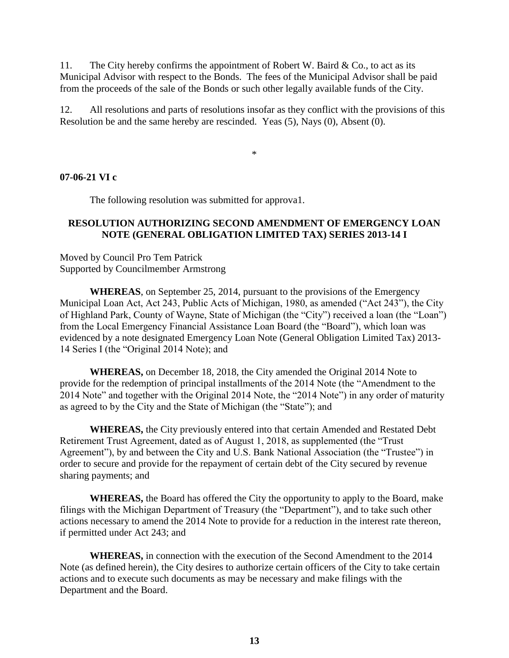11. The City hereby confirms the appointment of Robert W. Baird & Co., to act as its Municipal Advisor with respect to the Bonds. The fees of the Municipal Advisor shall be paid from the proceeds of the sale of the Bonds or such other legally available funds of the City.

12. All resolutions and parts of resolutions insofar as they conflict with the provisions of this Resolution be and the same hereby are rescinded. Yeas (5), Nays (0), Absent (0).

\*

#### **07-06-21 VI c**

The following resolution was submitted for approva1.

#### **RESOLUTION AUTHORIZING SECOND AMENDMENT OF EMERGENCY LOAN NOTE (GENERAL OBLIGATION LIMITED TAX) SERIES 2013-14 I**

Moved by Council Pro Tem Patrick Supported by Councilmember Armstrong

**WHEREAS**, on September 25, 2014, pursuant to the provisions of the Emergency Municipal Loan Act, Act 243, Public Acts of Michigan, 1980, as amended ("Act 243"), the City of Highland Park, County of Wayne, State of Michigan (the "City") received a loan (the "Loan") from the Local Emergency Financial Assistance Loan Board (the "Board"), which loan was evidenced by a note designated Emergency Loan Note (General Obligation Limited Tax) 2013- 14 Series I (the "Original 2014 Note); and

**WHEREAS,** on December 18, 2018, the City amended the Original 2014 Note to provide for the redemption of principal installments of the 2014 Note (the "Amendment to the 2014 Note" and together with the Original 2014 Note, the "2014 Note") in any order of maturity as agreed to by the City and the State of Michigan (the "State"); and

**WHEREAS,** the City previously entered into that certain Amended and Restated Debt Retirement Trust Agreement, dated as of August 1, 2018, as supplemented (the "Trust Agreement"), by and between the City and U.S. Bank National Association (the "Trustee") in order to secure and provide for the repayment of certain debt of the City secured by revenue sharing payments; and

**WHEREAS,** the Board has offered the City the opportunity to apply to the Board, make filings with the Michigan Department of Treasury (the "Department"), and to take such other actions necessary to amend the 2014 Note to provide for a reduction in the interest rate thereon, if permitted under Act 243; and

**WHEREAS,** in connection with the execution of the Second Amendment to the 2014 Note (as defined herein), the City desires to authorize certain officers of the City to take certain actions and to execute such documents as may be necessary and make filings with the Department and the Board.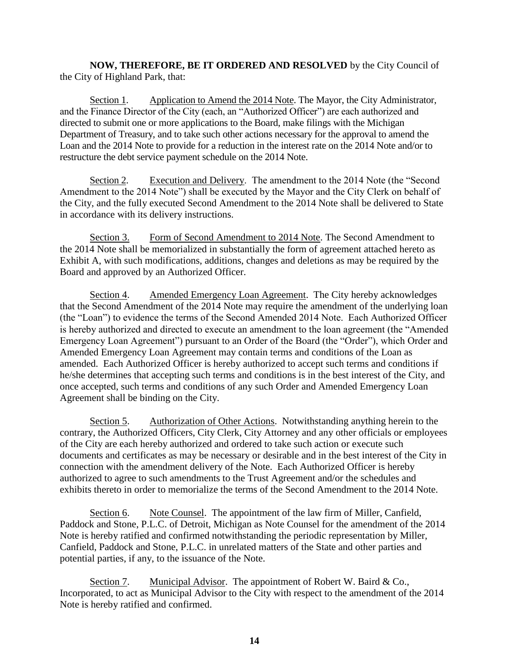**NOW, THEREFORE, BE IT ORDERED AND RESOLVED** by the City Council of the City of Highland Park, that:

Section 1. Application to Amend the 2014 Note. The Mayor, the City Administrator, and the Finance Director of the City (each, an "Authorized Officer") are each authorized and directed to submit one or more applications to the Board, make filings with the Michigan Department of Treasury, and to take such other actions necessary for the approval to amend the Loan and the 2014 Note to provide for a reduction in the interest rate on the 2014 Note and/or to restructure the debt service payment schedule on the 2014 Note.

Section 2. Execution and Delivery. The amendment to the 2014 Note (the "Second Amendment to the 2014 Note") shall be executed by the Mayor and the City Clerk on behalf of the City, and the fully executed Second Amendment to the 2014 Note shall be delivered to State in accordance with its delivery instructions.

Section 3. Form of Second Amendment to 2014 Note. The Second Amendment to the 2014 Note shall be memorialized in substantially the form of agreement attached hereto as Exhibit A, with such modifications, additions, changes and deletions as may be required by the Board and approved by an Authorized Officer.

Section 4. Amended Emergency Loan Agreement. The City hereby acknowledges that the Second Amendment of the 2014 Note may require the amendment of the underlying loan (the "Loan") to evidence the terms of the Second Amended 2014 Note. Each Authorized Officer is hereby authorized and directed to execute an amendment to the loan agreement (the "Amended Emergency Loan Agreement") pursuant to an Order of the Board (the "Order"), which Order and Amended Emergency Loan Agreement may contain terms and conditions of the Loan as amended. Each Authorized Officer is hereby authorized to accept such terms and conditions if he/she determines that accepting such terms and conditions is in the best interest of the City, and once accepted, such terms and conditions of any such Order and Amended Emergency Loan Agreement shall be binding on the City.

Section 5. Authorization of Other Actions. Notwithstanding anything herein to the contrary, the Authorized Officers, City Clerk, City Attorney and any other officials or employees of the City are each hereby authorized and ordered to take such action or execute such documents and certificates as may be necessary or desirable and in the best interest of the City in connection with the amendment delivery of the Note. Each Authorized Officer is hereby authorized to agree to such amendments to the Trust Agreement and/or the schedules and exhibits thereto in order to memorialize the terms of the Second Amendment to the 2014 Note.

Section 6. Note Counsel. The appointment of the law firm of Miller, Canfield, Paddock and Stone, P.L.C. of Detroit, Michigan as Note Counsel for the amendment of the 2014 Note is hereby ratified and confirmed notwithstanding the periodic representation by Miller, Canfield, Paddock and Stone, P.L.C. in unrelated matters of the State and other parties and potential parties, if any, to the issuance of the Note.

Section 7. Municipal Advisor. The appointment of Robert W. Baird & Co., Incorporated, to act as Municipal Advisor to the City with respect to the amendment of the 2014 Note is hereby ratified and confirmed.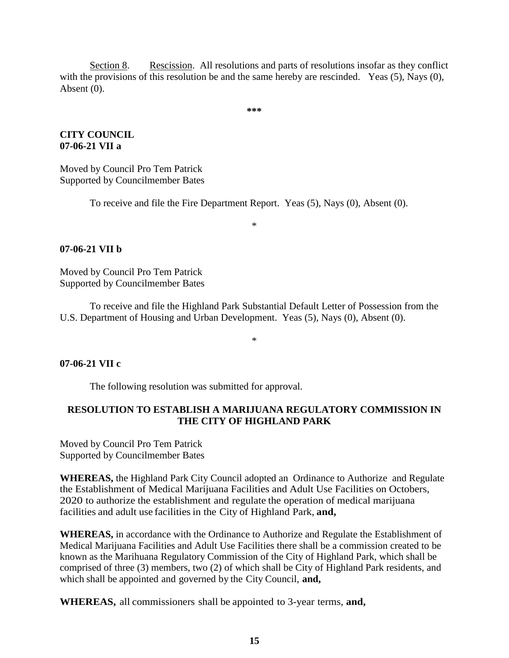Section 8. Rescission. All resolutions and parts of resolutions insofar as they conflict with the provisions of this resolution be and the same hereby are rescinded. Yeas (5), Nays (0), Absent (0).

**\*\*\***

### **CITY COUNCIL 07-06-21 VII a**

Moved by Council Pro Tem Patrick Supported by Councilmember Bates

To receive and file the Fire Department Report. Yeas (5), Nays (0), Absent (0).

\*

### **07-06-21 VII b**

Moved by Council Pro Tem Patrick Supported by Councilmember Bates

To receive and file the Highland Park Substantial Default Letter of Possession from the U.S. Department of Housing and Urban Development. Yeas (5), Nays (0), Absent (0).

\*

#### **07-06-21 VII c**

The following resolution was submitted for approval.

### **RESOLUTION TO ESTABLISH A MARIJUANA REGULATORY COMMISSION IN THE CITY OF HIGHLAND PARK**

Moved by Council Pro Tem Patrick Supported by Councilmember Bates

**WHEREAS,** the Highland Park City Council adopted an Ordinance to Authorize and Regulate the Establishment of Medical Marijuana Facilities and Adult Use Facilities on Octobers, 2020 to authorize the establishment and regulate the operation of medical marijuana facilities and adult use facilities in the City of Highland Park, **and,**

**WHEREAS,** in accordance with the Ordinance to Authorize and Regulate the Establishment of Medical Marijuana Facilities and Adult Use Facilities there shall be a commission created to be known as the Marihuana Regulatory Commission of the City of Highland Park, which shall be comprised of three (3) members, two (2) of which shall be City of Highland Park residents, and which shall be appointed and governed by the City Council, **and,**

**WHEREAS,** all commissioners shall be appointed to 3-year terms, **and,**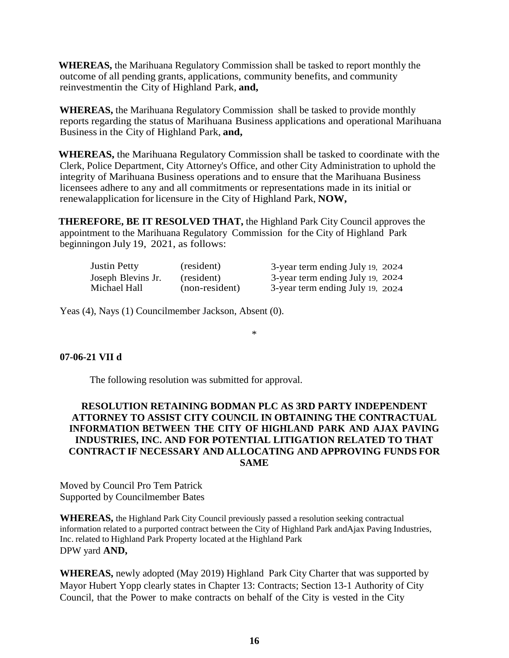**WHEREAS,** the Marihuana Regulatory Commission shall be tasked to report monthly the outcome of all pending grants, applications, community benefits, and community reinvestmentin the City of Highland Park, **and,**

**WHEREAS,** the Marihuana Regulatory Commission shall be tasked to provide monthly reports regarding the status of Marihuana Business applications and operational Marihuana Business in the City of Highland Park, **and,**

**WHEREAS,** the Marihuana Regulatory Commission shall be tasked to coordinate with the Clerk, Police Department, City Attorney's Office, and other City Administration to uphold the integrity of Marihuana Business operations and to ensure that the Marihuana Business licensees adhere to any and all commitments or representations made in its initial or renewalapplication for licensure in the City of Highland Park, **NOW,**

**THEREFORE, BE IT RESOLVED THAT,** the Highland Park City Council approves the appointment to the Marihuana Regulatory Commission for the City of Highland Park beginningon July 19, 2021, as follows:

| <b>Justin Petty</b> | (resident)     | 3-year term ending July 19, 2024 |  |
|---------------------|----------------|----------------------------------|--|
| Joseph Blevins Jr.  | (resident)     | 3-year term ending July 19, 2024 |  |
| Michael Hall        | (non-resident) | 3-year term ending July 19, 2024 |  |

Yeas (4), Nays (1) Councilmember Jackson, Absent (0).

\*

#### **07-06-21 VII d**

The following resolution was submitted for approval.

### **RESOLUTION RETAINING BODMAN PLC AS 3RD PARTY INDEPENDENT ATTORNEY TO ASSIST CITY COUNCIL IN OBTAINING THE CONTRACTUAL INFORMATION BETWEEN THE CITY OF HIGHLAND PARK AND AJAX PAVING INDUSTRIES, INC. AND FOR POTENTIAL LITIGATION RELATED TO THAT CONTRACT IF NECESSARY AND ALLOCATING AND APPROVING FUNDS FOR SAME**

Moved by Council Pro Tem Patrick Supported by Councilmember Bates

**WHEREAS,** the Highland Park City Council previously passed a resolution seeking contractual information related to a purported contract between the City of Highland Park andAjax Paving Industries, Inc. related to Highland Park Property located at the Highland Park DPW yard **AND,**

**WHEREAS,** newly adopted (May 2019) Highland Park City Charter that was supported by Mayor Hubert Yopp clearly states in Chapter 13: Contracts; Section 13-1 Authority of City Council, that the Power to make contracts on behalf of the City is vested in the City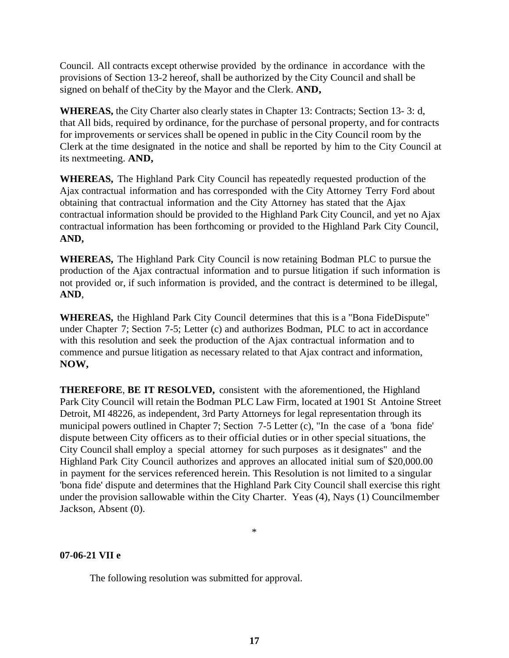Council. All contracts except otherwise provided by the ordinance in accordance with the provisions of Section 13-2 hereof, shall be authorized by the City Council and shall be signed on behalf of theCity by the Mayor and the Clerk. **AND,**

**WHEREAS,** the City Charter also clearly states in Chapter 13: Contracts; Section 13- 3: d, that All bids, required by ordinance, for the purchase of personal property, and for contracts for improvements or services shall be opened in public in the City Council room by the Clerk at the time designated in the notice and shall be reported by him to the City Council at its nextmeeting. **AND,**

**WHEREAS,** The Highland Park City Council has repeatedly requested production of the Ajax contractual information and has corresponded with the City Attorney Terry Ford about obtaining that contractual information and the City Attorney has stated that the Ajax contractual information should be provided to the Highland Park City Council, and yet no Ajax contractual information has been forthcoming or provided to the Highland Park City Council, **AND,**

**WHEREAS,** The Highland Park City Council is now retaining Bodman PLC to pursue the production of the Ajax contractual information and to pursue litigation if such information is not provided or, if such information is provided, and the contract is determined to be illegal, **AND**,

**WHEREAS,** the Highland Park City Council determines that this is a "Bona FideDispute" under Chapter 7; Section 7-5; Letter (c) and authorizes Bodman, PLC to act in accordance with this resolution and seek the production of the Ajax contractual information and to commence and pursue litigation as necessary related to that Ajax contract and information, **NOW,**

**THEREFORE**, **BE IT RESOLVED,** consistent with the aforementioned, the Highland Park City Council will retain the Bodman PLC Law Firm, located at 1901 St Antoine Street Detroit, MI 48226, as independent, 3rd Party Attorneys for legal representation through its municipal powers outlined in Chapter 7; Section 7-5 Letter (c), "In the case of a 'bona fide' dispute between City officers as to their official duties or in other special situations, the City Council shall employ a special attorney for such purposes as it designates" and the Highland Park City Council authorizes and approves an allocated initial sum of \$20,000.00 in payment for the services referenced herein. This Resolution is not limited to a singular 'bona fide' dispute and determines that the Highland Park City Council shall exercise this right under the provision sallowable within the City Charter. Yeas (4), Nays (1) Councilmember Jackson, Absent (0).

\*

#### **07-06-21 VII e**

The following resolution was submitted for approval.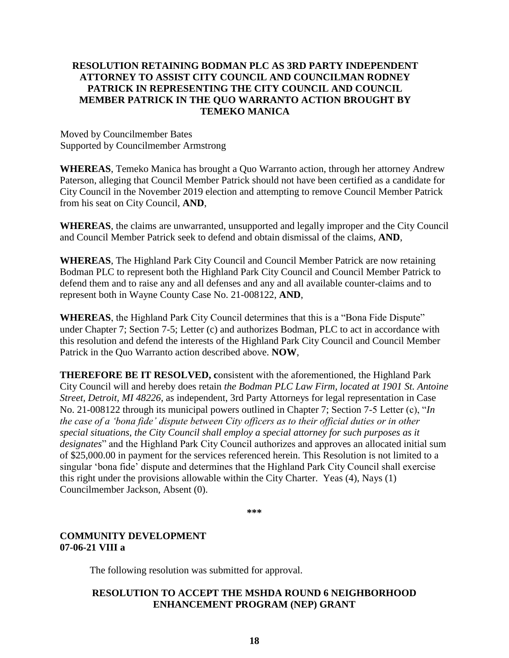### **RESOLUTION RETAINING BODMAN PLC AS 3RD PARTY INDEPENDENT ATTORNEY TO ASSIST CITY COUNCIL AND COUNCILMAN RODNEY PATRICK IN REPRESENTING THE CITY COUNCIL AND COUNCIL MEMBER PATRICK IN THE QUO WARRANTO ACTION BROUGHT BY TEMEKO MANICA**

Moved by Councilmember Bates Supported by Councilmember Armstrong

**WHEREAS**, Temeko Manica has brought a Quo Warranto action, through her attorney Andrew Paterson, alleging that Council Member Patrick should not have been certified as a candidate for City Council in the November 2019 election and attempting to remove Council Member Patrick from his seat on City Council, **AND**,

**WHEREAS**, the claims are unwarranted, unsupported and legally improper and the City Council and Council Member Patrick seek to defend and obtain dismissal of the claims, **AND**,

**WHEREAS**, The Highland Park City Council and Council Member Patrick are now retaining Bodman PLC to represent both the Highland Park City Council and Council Member Patrick to defend them and to raise any and all defenses and any and all available counter-claims and to represent both in Wayne County Case No. 21-008122, **AND**,

**WHEREAS**, the Highland Park City Council determines that this is a "Bona Fide Dispute" under Chapter 7; Section 7-5; Letter (c) and authorizes Bodman, PLC to act in accordance with this resolution and defend the interests of the Highland Park City Council and Council Member Patrick in the Quo Warranto action described above. **NOW**,

**THEREFORE BE IT RESOLVED, c**onsistent with the aforementioned, the Highland Park City Council will and hereby does retain *the Bodman PLC Law Firm, located at 1901 St. Antoine Street, Detroit, MI 48226*, as independent, 3rd Party Attorneys for legal representation in Case No. 21-008122 through its municipal powers outlined in Chapter 7; Section 7-5 Letter (c), "*In the case of a 'bona fide' dispute between City officers as to their official duties or in other special situations, the City Council shall employ a special attorney for such purposes as it designates*" and the Highland Park City Council authorizes and approves an allocated initial sum of \$25,000.00 in payment for the services referenced herein. This Resolution is not limited to a singular 'bona fide' dispute and determines that the Highland Park City Council shall exercise this right under the provisions allowable within the City Charter. Yeas (4), Nays (1) Councilmember Jackson, Absent (0).

**\*\*\***

## **COMMUNITY DEVELOPMENT 07-06-21 VIII a**

The following resolution was submitted for approval.

### **RESOLUTION TO ACCEPT THE MSHDA ROUND 6 NEIGHBORHOOD ENHANCEMENT PROGRAM (NEP) GRANT**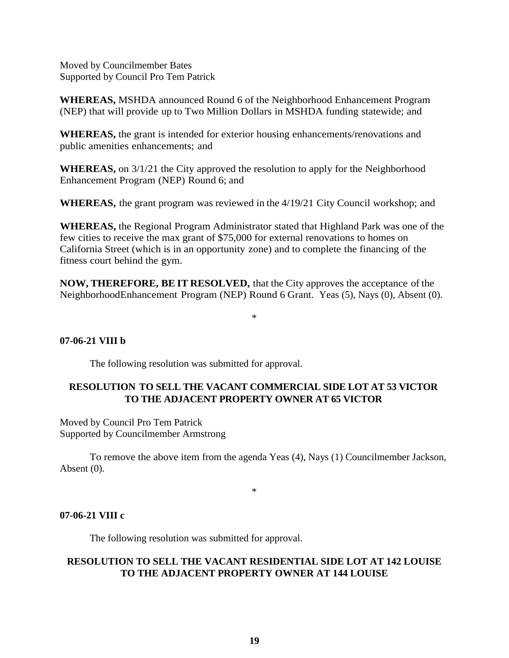Moved by Councilmember Bates Supported by Council Pro Tem Patrick

**WHEREAS,** MSHDA announced Round 6 of the Neighborhood Enhancement Program (NEP) that will provide up to Two Million Dollars in MSHDA funding statewide; and

**WHEREAS,** the grant is intended for exterior housing enhancements/renovations and public amenities enhancements; and

**WHEREAS,** on 3/1/21 the City approved the resolution to apply for the Neighborhood Enhancement Program (NEP) Round 6; and

**WHEREAS,** the grant program was reviewed in the 4/19/21 City Council workshop; and

**WHEREAS,** the Regional Program Administrator stated that Highland Park was one of the few cities to receive the max grant of \$75,000 for external renovations to homes on California Street (which is in an opportunity zone) and to complete the financing of the fitness court behind the gym.

**NOW, THEREFORE, BE IT RESOLVED,** that the City approves the acceptance of the NeighborhoodEnhancement Program (NEP) Round 6 Grant. Yeas (5), Nays (0), Absent (0).

\*

#### **07-06-21 VIII b**

The following resolution was submitted for approval.

## **RESOLUTION TO SELL THE VACANT COMMERCIAL SIDE LOT AT 53 VICTOR TO THE ADJACENT PROPERTY OWNER AT 65 VICTOR**

Moved by Council Pro Tem Patrick Supported by Councilmember Armstrong

To remove the above item from the agenda Yeas (4), Nays (1) Councilmember Jackson, Absent (0).

\*

#### **07-06-21 VIII c**

The following resolution was submitted for approval.

#### **RESOLUTION TO SELL THE VACANT RESIDENTIAL SIDE LOT AT 142 LOUISE TO THE ADJACENT PROPERTY OWNER AT 144 LOUISE**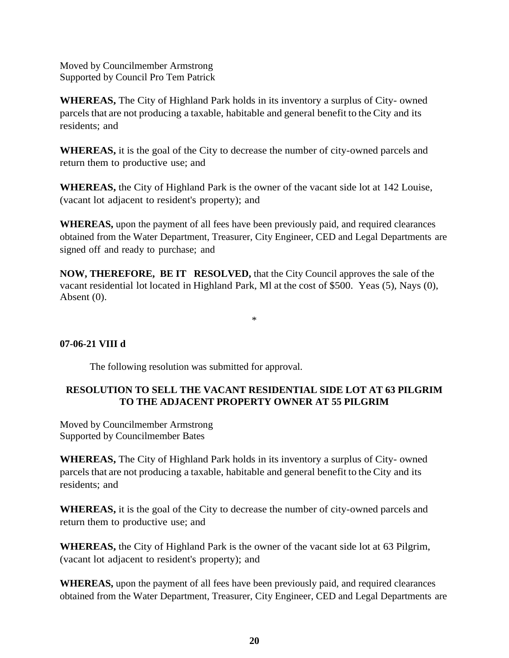Moved by Councilmember Armstrong Supported by Council Pro Tem Patrick

**WHEREAS,** The City of Highland Park holds in its inventory a surplus of City- owned parcels that are not producing a taxable, habitable and general benefit to the City and its residents; and

**WHEREAS,** it is the goal of the City to decrease the number of city-owned parcels and return them to productive use; and

**WHEREAS,** the City of Highland Park is the owner of the vacant side lot at 142 Louise, (vacant lot adjacent to resident's property); and

**WHEREAS,** upon the payment of all fees have been previously paid, and required clearances obtained from the Water Department, Treasurer, City Engineer, CED and Legal Departments are signed off and ready to purchase; and

**NOW, THEREFORE, BE IT RESOLVED,** that the City Council approves the sale of the vacant residential lot located in Highland Park, Ml at the cost of \$500. Yeas (5), Nays (0), Absent (0).

\*

### **07-06-21 VIII d**

The following resolution was submitted for approval.

### **RESOLUTION TO SELL THE VACANT RESIDENTIAL SIDE LOT AT 63 PILGRIM TO THE ADJACENT PROPERTY OWNER AT 55 PILGRIM**

Moved by Councilmember Armstrong Supported by Councilmember Bates

**WHEREAS,** The City of Highland Park holds in its inventory a surplus of City- owned parcels that are not producing a taxable, habitable and general benefit to the City and its residents; and

**WHEREAS,** it is the goal of the City to decrease the number of city-owned parcels and return them to productive use; and

**WHEREAS,** the City of Highland Park is the owner of the vacant side lot at 63 Pilgrim, (vacant lot adjacent to resident's property); and

**WHEREAS,** upon the payment of all fees have been previously paid, and required clearances obtained from the Water Department, Treasurer, City Engineer, CED and Legal Departments are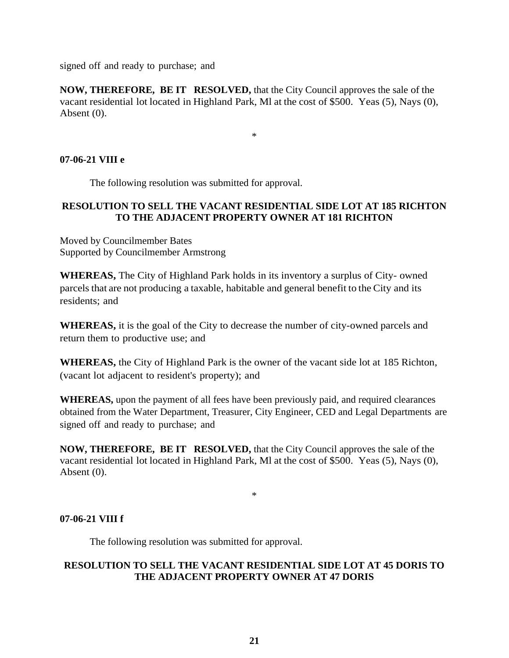signed off and ready to purchase; and

**NOW, THEREFORE, BE IT RESOLVED,** that the City Council approves the sale of the vacant residential lot located in Highland Park, Ml at the cost of \$500. Yeas (5), Nays (0), Absent (0).

\*

### **07-06-21 VIII e**

The following resolution was submitted for approval.

### **RESOLUTION TO SELL THE VACANT RESIDENTIAL SIDE LOT AT 185 RICHTON TO THE ADJACENT PROPERTY OWNER AT 181 RICHTON**

Moved by Councilmember Bates Supported by Councilmember Armstrong

**WHEREAS,** The City of Highland Park holds in its inventory a surplus of City- owned parcels that are not producing a taxable, habitable and general benefit to the City and its residents; and

**WHEREAS,** it is the goal of the City to decrease the number of city-owned parcels and return them to productive use; and

**WHEREAS,** the City of Highland Park is the owner of the vacant side lot at 185 Richton, (vacant lot adjacent to resident's property); and

**WHEREAS,** upon the payment of all fees have been previously paid, and required clearances obtained from the Water Department, Treasurer, City Engineer, CED and Legal Departments are signed off and ready to purchase; and

**NOW, THEREFORE, BE IT RESOLVED,** that the City Council approves the sale of the vacant residential lot located in Highland Park, Ml at the cost of \$500. Yeas (5), Nays (0), Absent (0).

\*

#### **07-06-21 VIII f**

The following resolution was submitted for approval.

### **RESOLUTION TO SELL THE VACANT RESIDENTIAL SIDE LOT AT 45 DORIS TO THE ADJACENT PROPERTY OWNER AT 47 DORIS**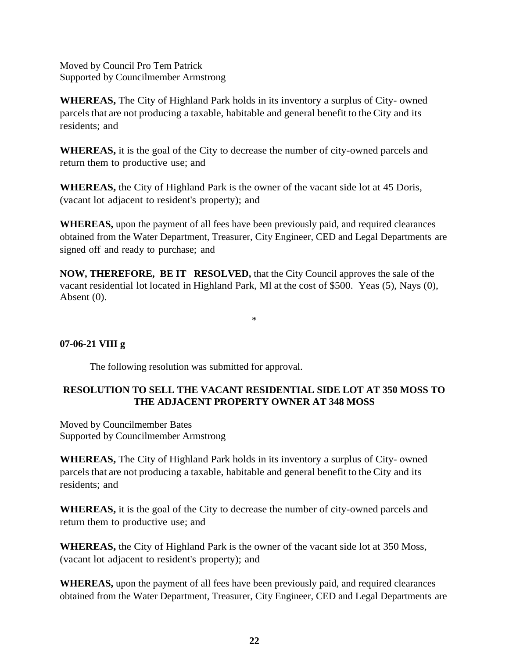Moved by Council Pro Tem Patrick Supported by Councilmember Armstrong

**WHEREAS,** The City of Highland Park holds in its inventory a surplus of City- owned parcels that are not producing a taxable, habitable and general benefit to the City and its residents; and

**WHEREAS,** it is the goal of the City to decrease the number of city-owned parcels and return them to productive use; and

**WHEREAS,** the City of Highland Park is the owner of the vacant side lot at 45 Doris, (vacant lot adjacent to resident's property); and

**WHEREAS,** upon the payment of all fees have been previously paid, and required clearances obtained from the Water Department, Treasurer, City Engineer, CED and Legal Departments are signed off and ready to purchase; and

**NOW, THEREFORE, BE IT RESOLVED,** that the City Council approves the sale of the vacant residential lot located in Highland Park, Ml at the cost of \$500. Yeas (5), Nays (0), Absent (0).

\*

### **07-06-21 VIII g**

The following resolution was submitted for approval.

## **RESOLUTION TO SELL THE VACANT RESIDENTIAL SIDE LOT AT 350 MOSS TO THE ADJACENT PROPERTY OWNER AT 348 MOSS**

Moved by Councilmember Bates Supported by Councilmember Armstrong

**WHEREAS,** The City of Highland Park holds in its inventory a surplus of City- owned parcels that are not producing a taxable, habitable and general benefit to the City and its residents; and

**WHEREAS,** it is the goal of the City to decrease the number of city-owned parcels and return them to productive use; and

**WHEREAS,** the City of Highland Park is the owner of the vacant side lot at 350 Moss, (vacant lot adjacent to resident's property); and

**WHEREAS,** upon the payment of all fees have been previously paid, and required clearances obtained from the Water Department, Treasurer, City Engineer, CED and Legal Departments are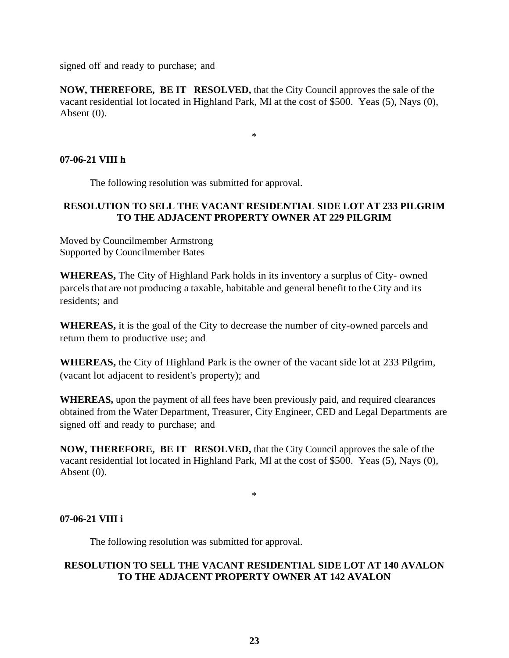signed off and ready to purchase; and

**NOW, THEREFORE, BE IT RESOLVED,** that the City Council approves the sale of the vacant residential lot located in Highland Park, Ml at the cost of \$500. Yeas (5), Nays (0), Absent (0).

\*

### **07-06-21 VIII h**

The following resolution was submitted for approval.

### **RESOLUTION TO SELL THE VACANT RESIDENTIAL SIDE LOT AT 233 PILGRIM TO THE ADJACENT PROPERTY OWNER AT 229 PILGRIM**

Moved by Councilmember Armstrong Supported by Councilmember Bates

**WHEREAS,** The City of Highland Park holds in its inventory a surplus of City- owned parcels that are not producing a taxable, habitable and general benefit to the City and its residents; and

**WHEREAS,** it is the goal of the City to decrease the number of city-owned parcels and return them to productive use; and

**WHEREAS,** the City of Highland Park is the owner of the vacant side lot at 233 Pilgrim, (vacant lot adjacent to resident's property); and

**WHEREAS,** upon the payment of all fees have been previously paid, and required clearances obtained from the Water Department, Treasurer, City Engineer, CED and Legal Departments are signed off and ready to purchase; and

**NOW, THEREFORE, BE IT RESOLVED,** that the City Council approves the sale of the vacant residential lot located in Highland Park, Ml at the cost of \$500. Yeas (5), Nays (0), Absent (0).

\*

#### **07-06-21 VIII i**

The following resolution was submitted for approval.

### **RESOLUTION TO SELL THE VACANT RESIDENTIAL SIDE LOT AT 140 AVALON TO THE ADJACENT PROPERTY OWNER AT 142 AVALON**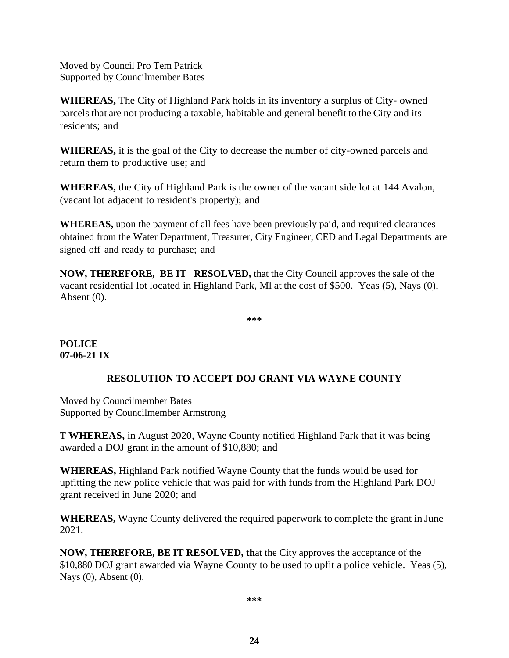Moved by Council Pro Tem Patrick Supported by Councilmember Bates

**WHEREAS,** The City of Highland Park holds in its inventory a surplus of City- owned parcels that are not producing a taxable, habitable and general benefit to the City and its residents; and

**WHEREAS,** it is the goal of the City to decrease the number of city-owned parcels and return them to productive use; and

**WHEREAS,** the City of Highland Park is the owner of the vacant side lot at 144 Avalon, (vacant lot adjacent to resident's property); and

**WHEREAS,** upon the payment of all fees have been previously paid, and required clearances obtained from the Water Department, Treasurer, City Engineer, CED and Legal Departments are signed off and ready to purchase; and

**NOW, THEREFORE, BE IT RESOLVED,** that the City Council approves the sale of the vacant residential lot located in Highland Park, Ml at the cost of \$500. Yeas (5), Nays (0), Absent (0).

**\*\*\***

### **POLICE 07-06-21 IX**

### **RESOLUTION TO ACCEPT DOJ GRANT VIA WAYNE COUNTY**

Moved by Councilmember Bates Supported by Councilmember Armstrong

T **WHEREAS,** in August 2020, Wayne County notified Highland Park that it was being awarded a DOJ grant in the amount of \$10,880; and

**WHEREAS,** Highland Park notified Wayne County that the funds would be used for upfitting the new police vehicle that was paid for with funds from the Highland Park DOJ grant received in June 2020; and

**WHEREAS,** Wayne County delivered the required paperwork to complete the grant in June 2021.

**NOW, THEREFORE, BE IT RESOLVED, th**at the City approves the acceptance of the \$10,880 DOJ grant awarded via Wayne County to be used to upfit a police vehicle. Yeas (5), Nays (0), Absent (0).

**\*\*\***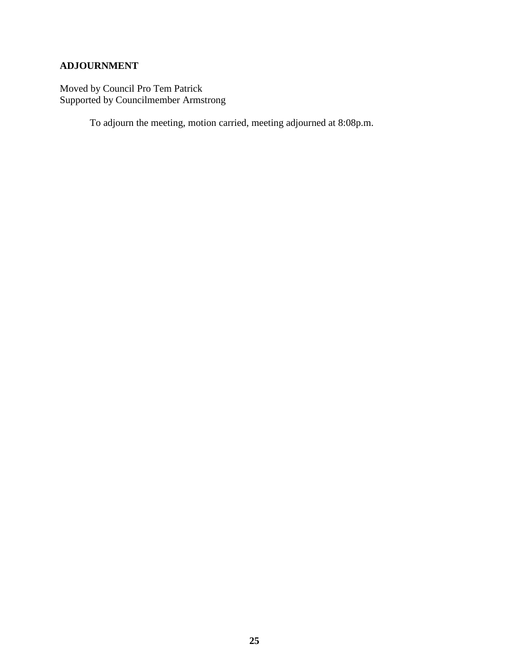# **ADJOURNMENT**

Moved by Council Pro Tem Patrick Supported by Councilmember Armstrong

To adjourn the meeting, motion carried, meeting adjourned at 8:08p.m.